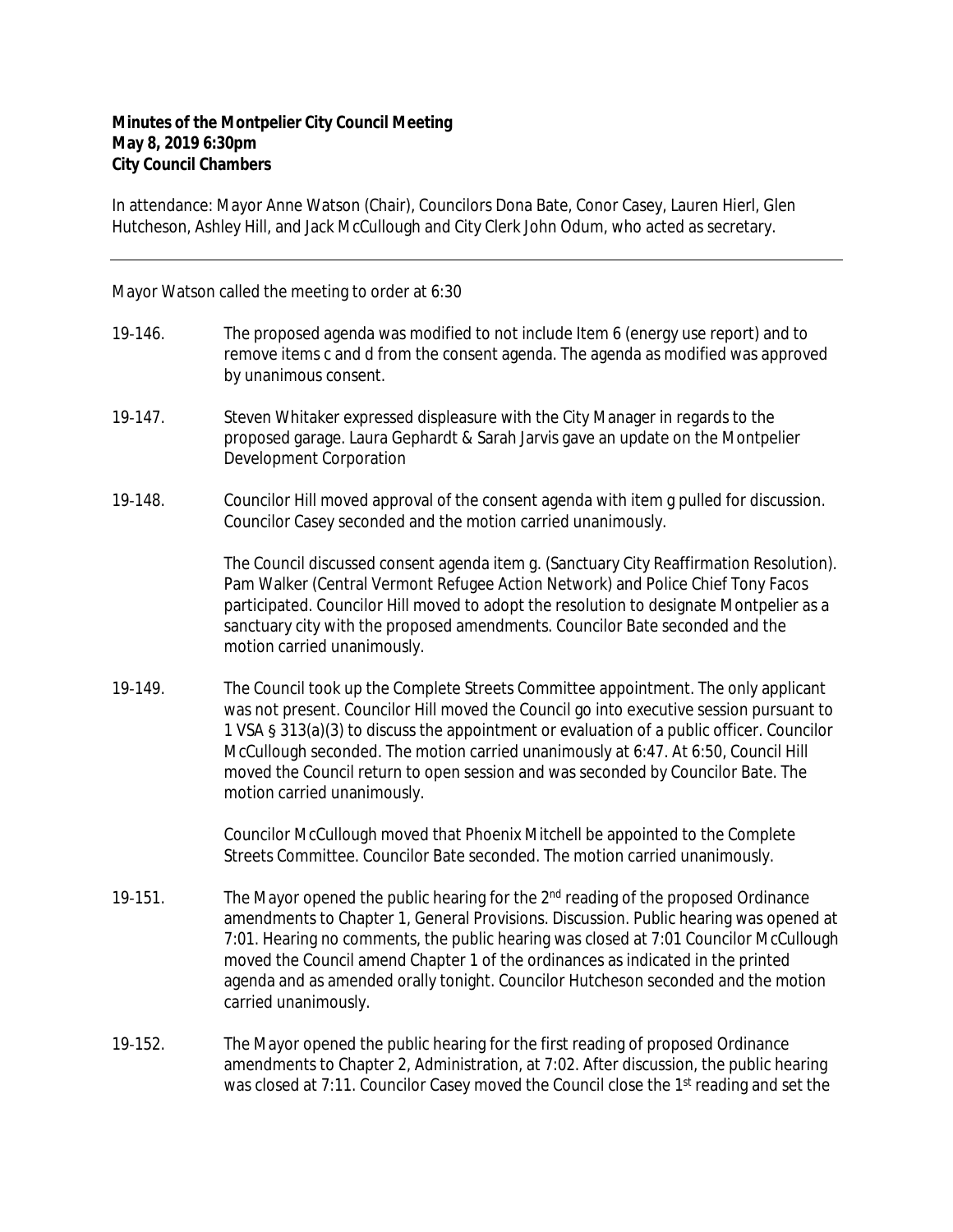## **Minutes of the Montpelier City Council Meeting May 8, 2019 6:30pm City Council Chambers**

In attendance: Mayor Anne Watson (Chair), Councilors Dona Bate, Conor Casey, Lauren Hierl, Glen Hutcheson, Ashley Hill, and Jack McCullough and City Clerk John Odum, who acted as secretary.

Mayor Watson called the meeting to order at 6:30

- 19-146. The proposed agenda was modified to not include Item 6 (energy use report) and to remove items c and d from the consent agenda. The agenda as modified was approved by unanimous consent.
- 19‐147. Steven Whitaker expressed displeasure with the City Manager in regards to the proposed garage. Laura Gephardt & Sarah Jarvis gave an update on the Montpelier Development Corporation
- 19‐148. Councilor Hill moved approval of the consent agenda with item g pulled for discussion. Councilor Casey seconded and the motion carried unanimously.

The Council discussed consent agenda item g. (Sanctuary City Reaffirmation Resolution). Pam Walker (Central Vermont Refugee Action Network) and Police Chief Tony Facos participated. Councilor Hill moved to adopt the resolution to designate Montpelier as a sanctuary city with the proposed amendments. Councilor Bate seconded and the motion carried unanimously.

19‐149. The Council took up the Complete Streets Committee appointment. The only applicant was not present. Councilor Hill moved the Council go into executive session pursuant to 1 VSA § 313(a)(3) to discuss the appointment or evaluation of a public officer. Councilor McCullough seconded. The motion carried unanimously at 6:47. At 6:50, Council Hill moved the Council return to open session and was seconded by Councilor Bate. The motion carried unanimously.

> Councilor McCullough moved that Phoenix Mitchell be appointed to the Complete Streets Committee. Councilor Bate seconded. The motion carried unanimously.

- 19-151. The Mayor opened the public hearing for the 2<sup>nd</sup> reading of the proposed Ordinance amendments to Chapter 1, General Provisions. Discussion. Public hearing was opened at 7:01. Hearing no comments, the public hearing was closed at 7:01 Councilor McCullough moved the Council amend Chapter 1 of the ordinances as indicated in the printed agenda and as amended orally tonight. Councilor Hutcheson seconded and the motion carried unanimously.
- 19-152. The Mayor opened the public hearing for the first reading of proposed Ordinance amendments to Chapter 2, Administration, at 7:02. After discussion, the public hearing was closed at 7:11. Councilor Casey moved the Council close the 1<sup>st</sup> reading and set the